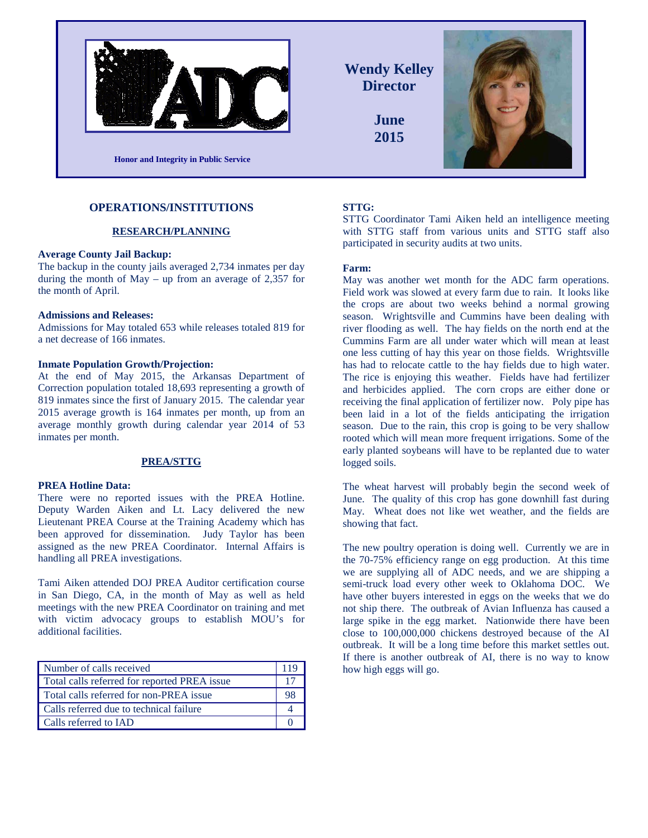

**Wendy Kelley Director**

> **June 2015**



## **OPERATIONS/INSTITUTIONS**

### **RESEARCH/PLANNING**

#### **Average County Jail Backup:**

The backup in the county jails averaged 2,734 inmates per day during the month of  $May - up$  from an average of 2,357 for the month of April.

#### **Admissions and Releases:**

Admissions for May totaled 653 while releases totaled 819 for a net decrease of 166 inmates.

### **Inmate Population Growth/Projection:**

At the end of May 2015, the Arkansas Department of Correction population totaled 18,693 representing a growth of 819 inmates since the first of January 2015. The calendar year 2015 average growth is 164 inmates per month, up from an average monthly growth during calendar year 2014 of 53 inmates per month.

### **PREA/STTG**

#### **PREA Hotline Data:**

There were no reported issues with the PREA Hotline. Deputy Warden Aiken and Lt. Lacy delivered the new Lieutenant PREA Course at the Training Academy which has been approved for dissemination. Judy Taylor has been assigned as the new PREA Coordinator. Internal Affairs is handling all PREA investigations.

Tami Aiken attended DOJ PREA Auditor certification course in San Diego, CA, in the month of May as well as held meetings with the new PREA Coordinator on training and met with victim advocacy groups to establish MOU's for additional facilities.

| Number of calls received                     | 11 C |
|----------------------------------------------|------|
| Total calls referred for reported PREA issue |      |
| Total calls referred for non-PREA issue      |      |
| Calls referred due to technical failure      |      |
| Calls referred to IAD                        |      |

### **STTG:**

STTG Coordinator Tami Aiken held an intelligence meeting with STTG staff from various units and STTG staff also participated in security audits at two units.

### **Farm:**

May was another wet month for the ADC farm operations. Field work was slowed at every farm due to rain. It looks like the crops are about two weeks behind a normal growing season. Wrightsville and Cummins have been dealing with river flooding as well. The hay fields on the north end at the Cummins Farm are all under water which will mean at least one less cutting of hay this year on those fields. Wrightsville has had to relocate cattle to the hay fields due to high water. The rice is enjoying this weather. Fields have had fertilizer and herbicides applied. The corn crops are either done or receiving the final application of fertilizer now. Poly pipe has been laid in a lot of the fields anticipating the irrigation season. Due to the rain, this crop is going to be very shallow rooted which will mean more frequent irrigations. Some of the early planted soybeans will have to be replanted due to water logged soils.

The wheat harvest will probably begin the second week of June. The quality of this crop has gone downhill fast during May. Wheat does not like wet weather, and the fields are showing that fact.

The new poultry operation is doing well. Currently we are in the 70-75% efficiency range on egg production. At this time we are supplying all of ADC needs, and we are shipping a semi-truck load every other week to Oklahoma DOC. We have other buyers interested in eggs on the weeks that we do not ship there. The outbreak of Avian Influenza has caused a large spike in the egg market. Nationwide there have been close to 100,000,000 chickens destroyed because of the AI outbreak. It will be a long time before this market settles out. If there is another outbreak of AI, there is no way to know how high eggs will go.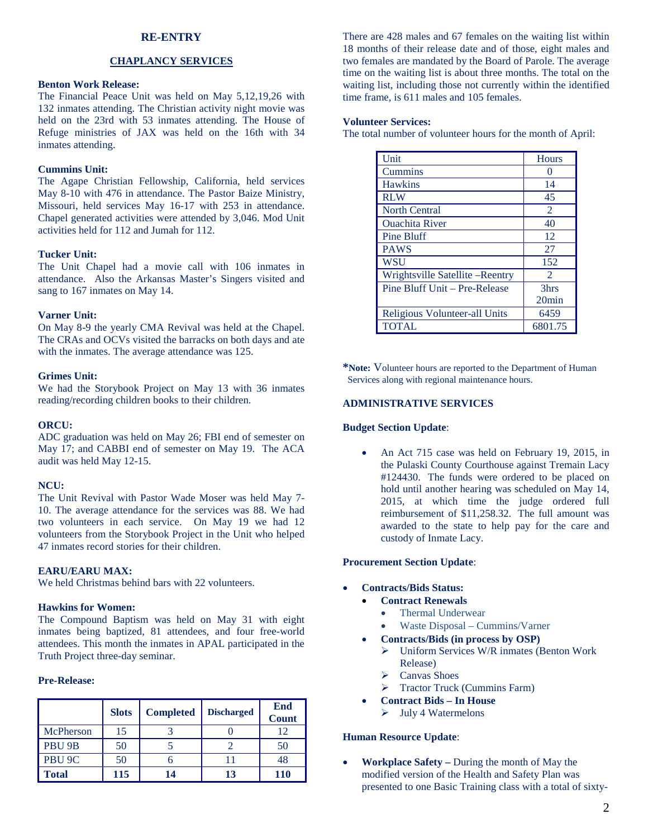## **RE-ENTRY**

## **CHAPLANCY SERVICES**

## **Benton Work Release:**

The Financial Peace Unit was held on May 5,12,19,26 with 132 inmates attending. The Christian activity night movie was held on the 23rd with 53 inmates attending. The House of Refuge ministries of JAX was held on the 16th with 34 inmates attending.

## **Cummins Unit:**

The Agape Christian Fellowship, California, held services May 8-10 with 476 in attendance. The Pastor Baize Ministry, Missouri, held services May 16-17 with 253 in attendance. Chapel generated activities were attended by 3,046. Mod Unit activities held for 112 and Jumah for 112.

### **Tucker Unit:**

The Unit Chapel had a movie call with 106 inmates in attendance. Also the Arkansas Master's Singers visited and sang to 167 inmates on May 14.

#### **Varner Unit:**

On May 8-9 the yearly CMA Revival was held at the Chapel. The CRAs and OCVs visited the barracks on both days and ate with the inmates. The average attendance was 125.

#### **Grimes Unit:**

We had the Storybook Project on May 13 with 36 inmates reading/recording children books to their children.

#### **ORCU:**

ADC graduation was held on May 26; FBI end of semester on May 17; and CABBI end of semester on May 19. The ACA audit was held May 12-15.

### **NCU:**

The Unit Revival with Pastor Wade Moser was held May 7- 10. The average attendance for the services was 88. We had two volunteers in each service. On May 19 we had 12 volunteers from the Storybook Project in the Unit who helped 47 inmates record stories for their children.

## **EARU/EARU MAX:**

We held Christmas behind bars with 22 volunteers.

## **Hawkins for Women:**

The Compound Baptism was held on May 31 with eight inmates being baptized, 81 attendees, and four free-world attendees. This month the inmates in APAL participated in the Truth Project three-day seminar.

## **Pre-Release:**

|                   | <b>Slots</b> | <b>Completed</b> | <b>Discharged</b> | <b>End</b><br><b>Count</b> |
|-------------------|--------------|------------------|-------------------|----------------------------|
| McPherson         | 15           |                  |                   | 12                         |
| PBU <sub>9B</sub> | 50           |                  |                   | 50                         |
| PBU <sub>9C</sub> | 50           |                  |                   | 48                         |
| <b>Total</b>      | 115          | 14               | 13                | 110                        |

There are 428 males and 67 females on the waiting list within 18 months of their release date and of those, eight males and two females are mandated by the Board of Parole. The average time on the waiting list is about three months. The total on the waiting list, including those not currently within the identified time frame, is 611 males and 105 females.

## **Volunteer Services:**

The total number of volunteer hours for the month of April:

| Unit                            | <b>Hours</b> |
|---------------------------------|--------------|
| Cummins                         |              |
| <b>Hawkins</b>                  | 14           |
| <b>RLW</b>                      | 45           |
| <b>North Central</b>            | 2            |
| <b>Ouachita River</b>           | 40           |
| <b>Pine Bluff</b>               | 12           |
| <b>PAWS</b>                     | 27           |
| WSU                             | 152          |
| Wrightsville Satellite -Reentry | 2            |
| Pine Bluff Unit – Pre-Release   | 3hrs         |
|                                 | $20$ min     |
| Religious Volunteer-all Units   | 6459         |
| <b>TOTAL</b>                    | 6801.75      |

**\*Note:** Volunteer hours are reported to the Department of Human Services along with regional maintenance hours.

### **ADMINISTRATIVE SERVICES**

#### **Budget Section Update**:

• An Act 715 case was held on February 19, 2015, in the Pulaski County Courthouse against Tremain Lacy #124430. The funds were ordered to be placed on hold until another hearing was scheduled on May 14, 2015, at which time the judge ordered full reimbursement of \$11,258.32. The full amount was awarded to the state to help pay for the care and custody of Inmate Lacy.

#### **Procurement Section Update**:

- **Contracts/Bids Status:**
	- **Contract Renewals**
		- Thermal Underwear
		- Waste Disposal Cummins/Varner
	- **Contracts/Bids (in process by OSP)**
		- Uniform Services W/R inmates (Benton Work Release)
		- $\triangleright$  Canvas Shoes
		- > Tractor Truck (Cummins Farm)
	- **Contract Bids – In House**
		- $\triangleright$  July 4 Watermelons

### **Human Resource Update**:

• **Workplace Safety –** During the month of May the modified version of the Health and Safety Plan was presented to one Basic Training class with a total of sixty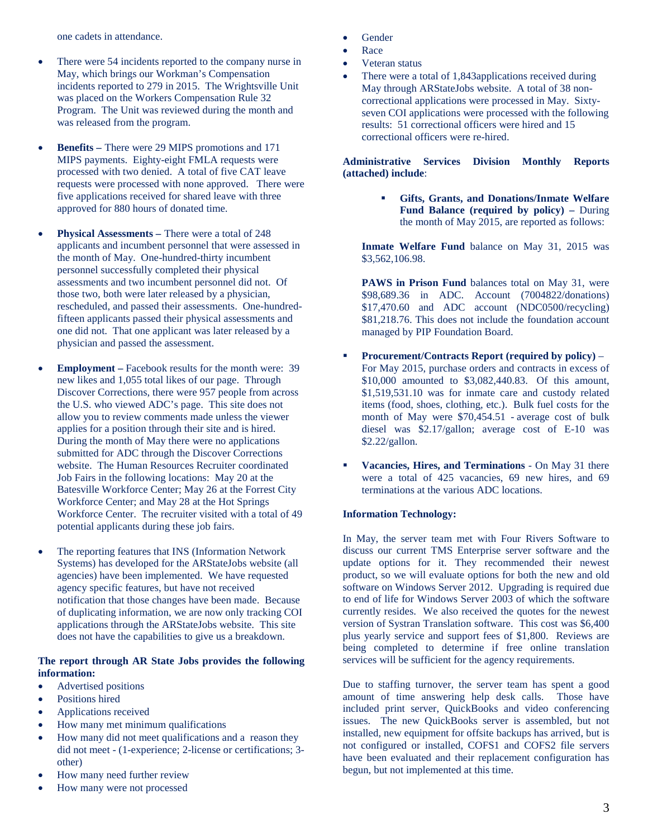one cadets in attendance.

- There were 54 incidents reported to the company nurse in May, which brings our Workman's Compensation incidents reported to 279 in 2015. The Wrightsville Unit was placed on the Workers Compensation Rule 32 Program. The Unit was reviewed during the month and was released from the program.
- **Benefits –** There were 29 MIPS promotions and 171 MIPS payments. Eighty-eight FMLA requests were processed with two denied. A total of five CAT leave requests were processed with none approved. There were five applications received for shared leave with three approved for 880 hours of donated time.
- **Physical Assessments There were a total of 248** applicants and incumbent personnel that were assessed in the month of May. One-hundred-thirty incumbent personnel successfully completed their physical assessments and two incumbent personnel did not. Of those two, both were later released by a physician, rescheduled, and passed their assessments. One-hundredfifteen applicants passed their physical assessments and one did not. That one applicant was later released by a physician and passed the assessment.
- **Employment** Facebook results for the month were: 39 new likes and 1,055 total likes of our page. Through Discover Corrections, there were 957 people from across the U.S. who viewed ADC's page. This site does not allow you to review comments made unless the viewer applies for a position through their site and is hired. During the month of May there were no applications submitted for ADC through the Discover Corrections website. The Human Resources Recruiter coordinated Job Fairs in the following locations: May 20 at the Batesville Workforce Center; May 26 at the Forrest City Workforce Center; and May 28 at the Hot Springs Workforce Center. The recruiter visited with a total of 49 potential applicants during these job fairs.
- The reporting features that INS (Information Network Systems) has developed for the ARStateJobs website (all agencies) have been implemented. We have requested agency specific features, but have not received notification that those changes have been made. Because of duplicating information, we are now only tracking COI applications through the ARStateJobs website. This site does not have the capabilities to give us a breakdown.

## **The report through AR State Jobs provides the following information:**

- Advertised positions
- Positions hired
- Applications received
- How many met minimum qualifications
- How many did not meet qualifications and a reason they did not meet - (1-experience; 2-license or certifications; 3 other)
- How many need further review
- How many were not processed
- Gender
- Race
- Veteran status
- There were a total of 1,843applications received during May through ARStateJobs website. A total of 38 noncorrectional applications were processed in May. Sixtyseven COI applications were processed with the following results: 51 correctional officers were hired and 15 correctional officers were re-hired.

## **Administrative Services Division Monthly Reports (attached) include**:

 **Gifts, Grants, and Donations/Inmate Welfare Fund Balance (required by policy) –** During the month of May 2015, are reported as follows:

**Inmate Welfare Fund** balance on May 31, 2015 was \$3,562,106.98.

PAWS in Prison Fund balances total on May 31, were \$98,689.36 in ADC. Account (7004822/donations) \$17,470.60 and ADC account (NDC0500/recycling) \$81,218.76. This does not include the foundation account managed by PIP Foundation Board.

- **Procurement/Contracts Report (required by policy)** For May 2015, purchase orders and contracts in excess of \$10,000 amounted to \$3,082,440.83. Of this amount, \$1,519,531.10 was for inmate care and custody related items (food, shoes, clothing, etc.). Bulk fuel costs for the month of May were \$70,454.51 - average cost of bulk diesel was \$2.17/gallon; average cost of E-10 was \$2.22/gallon.
- **Vacancies, Hires, and Terminations** On May 31 there were a total of 425 vacancies, 69 new hires, and 69 terminations at the various ADC locations.

## **Information Technology:**

In May, the server team met with Four Rivers Software to discuss our current TMS Enterprise server software and the update options for it. They recommended their newest product, so we will evaluate options for both the new and old software on Windows Server 2012. Upgrading is required due to end of life for Windows Server 2003 of which the software currently resides. We also received the quotes for the newest version of Systran Translation software. This cost was \$6,400 plus yearly service and support fees of \$1,800. Reviews are being completed to determine if free online translation services will be sufficient for the agency requirements.

Due to staffing turnover, the server team has spent a good amount of time answering help desk calls. Those have included print server, QuickBooks and video conferencing issues. The new QuickBooks server is assembled, but not installed, new equipment for offsite backups has arrived, but is not configured or installed, COFS1 and COFS2 file servers have been evaluated and their replacement configuration has begun, but not implemented at this time.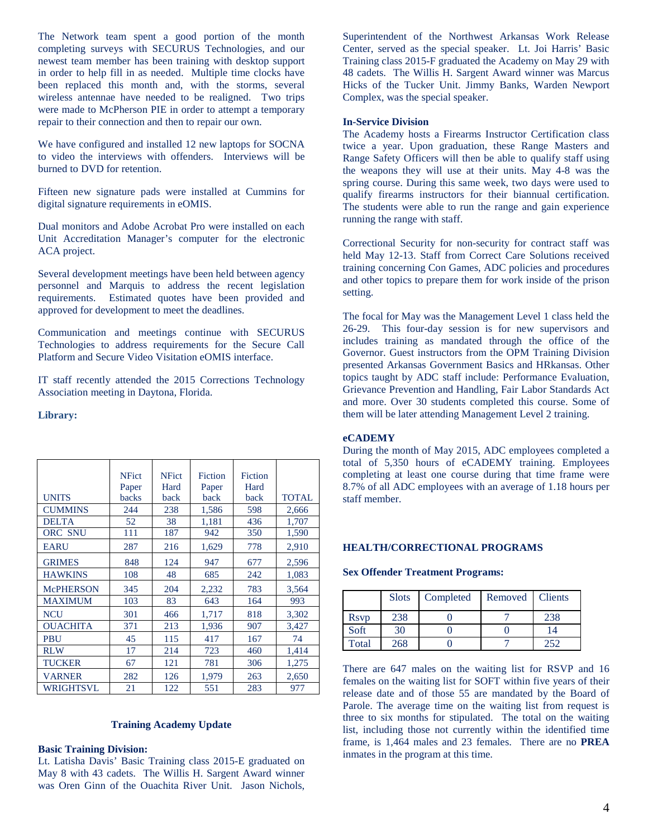The Network team spent a good portion of the month completing surveys with SECURUS Technologies, and our newest team member has been training with desktop support in order to help fill in as needed. Multiple time clocks have been replaced this month and, with the storms, several wireless antennae have needed to be realigned. Two trips were made to McPherson PIE in order to attempt a temporary repair to their connection and then to repair our own.

We have configured and installed 12 new laptops for SOCNA to video the interviews with offenders. Interviews will be burned to DVD for retention.

Fifteen new signature pads were installed at Cummins for digital signature requirements in eOMIS.

Dual monitors and Adobe Acrobat Pro were installed on each Unit Accreditation Manager's computer for the electronic ACA project.

Several development meetings have been held between agency personnel and Marquis to address the recent legislation requirements. Estimated quotes have been provided and approved for development to meet the deadlines.

Communication and meetings continue with SECURUS Technologies to address requirements for the Secure Call Platform and Secure Video Visitation eOMIS interface.

IT staff recently attended the 2015 Corrections Technology Association meeting in Daytona, Florida.

### **Library:**

|                  | <b>NFict</b><br>Paper | <b>NFict</b><br>Hard | Fiction<br>Paper | Fiction<br>Hard |              |
|------------------|-----------------------|----------------------|------------------|-----------------|--------------|
| <b>UNITS</b>     | backs                 | back                 | back             | back            | <b>TOTAL</b> |
| <b>CUMMINS</b>   | 244                   | 238                  | 1,586            | 598             | 2,666        |
| <b>DELTA</b>     | 52                    | 38                   | 1,181            | 436             | 1,707        |
| <b>ORC SNU</b>   | 111                   | 187                  | 942              | 350             | 1,590        |
| <b>EARU</b>      | 287                   | 216                  | 1,629            | 778             | 2,910        |
| <b>GRIMES</b>    | 848                   | 124                  | 947              | 677             | 2,596        |
| <b>HAWKINS</b>   | 108                   | 48                   | 685              | 242             | 1,083        |
| <b>McPHERSON</b> | 345                   | 204                  | 2,232            | 783             | 3,564        |
| <b>MAXIMUM</b>   | 103                   | 83                   | 643              | 164             | 993          |
| <b>NCU</b>       | 301                   | 466                  | 1,717            | 818             | 3,302        |
| <b>OUACHITA</b>  | 371                   | 213                  | 1,936            | 907             | 3,427        |
| PBU              | 45                    | 115                  | 417              | 167             | 74           |
| <b>RLW</b>       | 17                    | 214                  | 723              | 460             | 1,414        |
| <b>TUCKER</b>    | 67                    | 121                  | 781              | 306             | 1,275        |
| <b>VARNER</b>    | 282                   | 126                  | 1,979            | 263             | 2,650        |
| WRIGHTSVL        | 21                    | 122                  | 551              | 283             | 977          |

## **Training Academy Update**

### **Basic Training Division:**

Lt. Latisha Davis' Basic Training class 2015-E graduated on May 8 with 43 cadets. The Willis H. Sargent Award winner was Oren Ginn of the Ouachita River Unit. Jason Nichols,

Superintendent of the Northwest Arkansas Work Release Center, served as the special speaker. Lt. Joi Harris' Basic Training class 2015-F graduated the Academy on May 29 with 48 cadets. The Willis H. Sargent Award winner was Marcus Hicks of the Tucker Unit. Jimmy Banks, Warden Newport Complex, was the special speaker.

## **In-Service Division**

The Academy hosts a Firearms Instructor Certification class twice a year. Upon graduation, these Range Masters and Range Safety Officers will then be able to qualify staff using the weapons they will use at their units. May 4-8 was the spring course. During this same week, two days were used to qualify firearms instructors for their biannual certification. The students were able to run the range and gain experience running the range with staff.

Correctional Security for non-security for contract staff was held May 12-13. Staff from Correct Care Solutions received training concerning Con Games, ADC policies and procedures and other topics to prepare them for work inside of the prison setting.

The focal for May was the Management Level 1 class held the 26-29. This four-day session is for new supervisors and includes training as mandated through the office of the Governor. Guest instructors from the OPM Training Division presented Arkansas Government Basics and HRkansas. Other topics taught by ADC staff include: Performance Evaluation, Grievance Prevention and Handling, Fair Labor Standards Act and more. Over 30 students completed this course. Some of them will be later attending Management Level 2 training.

### **eCADEMY**

During the month of May 2015, ADC employees completed a total of 5,350 hours of eCADEMY training. Employees completing at least one course during that time frame were 8.7% of all ADC employees with an average of 1.18 hours per staff member.

### **HEALTH/CORRECTIONAL PROGRAMS**

#### **Sex Offender Treatment Programs:**

|                          | <b>Slots</b> | Completed | Removed Clients |     |
|--------------------------|--------------|-----------|-----------------|-----|
| <b>R</b> sv <sub>p</sub> | 238          |           |                 | 238 |
| Soft                     | 30           |           |                 | 14  |
| Total                    | 268          |           |                 | 252 |

There are 647 males on the waiting list for RSVP and 16 females on the waiting list for SOFT within five years of their release date and of those 55 are mandated by the Board of Parole. The average time on the waiting list from request is three to six months for stipulated. The total on the waiting list, including those not currently within the identified time frame, is 1,464 males and 23 females. There are no **PREA** inmates in the program at this time.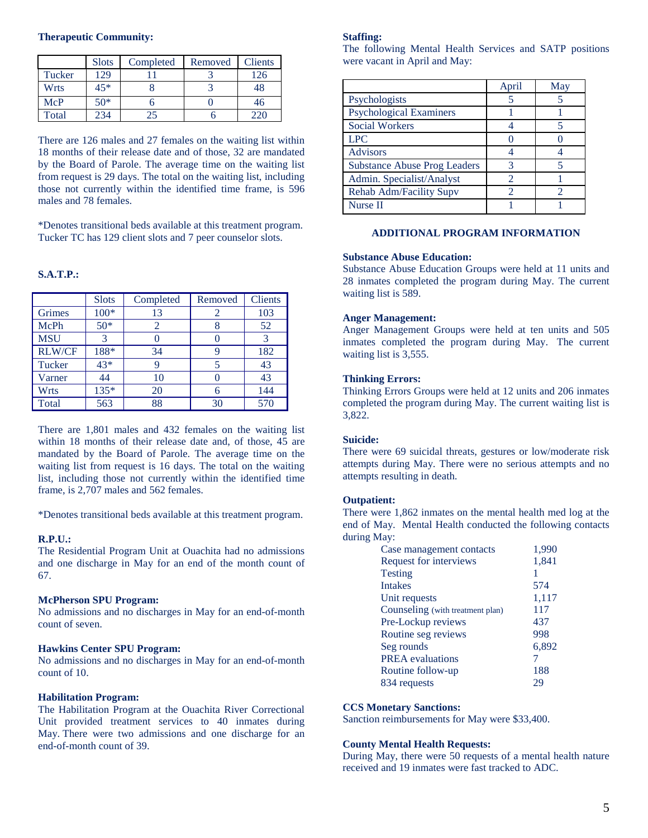### **Therapeutic Community:**

|        | <b>Slots</b> | Completed | Removed | <b>Clients</b> |
|--------|--------------|-----------|---------|----------------|
| Tucker | 129          |           |         | 126            |
| Wrts   | 45*          |           |         | 48             |
| McP    | $50*$        |           |         | 46             |
| Total  | 234          | 25        |         | 220            |

There are 126 males and 27 females on the waiting list within 18 months of their release date and of those, 32 are mandated by the Board of Parole. The average time on the waiting list from request is 29 days. The total on the waiting list, including those not currently within the identified time frame, is 596 males and 78 females.

\*Denotes transitional beds available at this treatment program. Tucker TC has 129 client slots and 7 peer counselor slots.

# **S.A.T.P.:**

|               | <b>Slots</b> | Completed | Removed | <b>Clients</b> |
|---------------|--------------|-----------|---------|----------------|
| Grimes        | $100*$       | 13        | 2       | 103            |
| McPh          | $50*$        | 2         | 8       | 52             |
| <b>MSU</b>    | 3            | 0         |         | 3              |
| <b>RLW/CF</b> | 188*         | 34        | 9       | 182            |
| Tucker        | 43*          | 9         | 5       | 43             |
| Varner        | 44           | 10        |         | 43             |
| Wrts          | 135*         | 20        | 6       | 144            |
| Total         | 563          | 88        | 30      | 570            |

There are 1,801 males and 432 females on the waiting list within 18 months of their release date and, of those, 45 are mandated by the Board of Parole. The average time on the waiting list from request is 16 days. The total on the waiting list, including those not currently within the identified time frame, is 2,707 males and 562 females.

\*Denotes transitional beds available at this treatment program.

### **R.P.U.:**

The Residential Program Unit at Ouachita had no admissions and one discharge in May for an end of the month count of 67.

### **McPherson SPU Program:**

No admissions and no discharges in May for an end-of-month count of seven.

#### **Hawkins Center SPU Program:**

No admissions and no discharges in May for an end-of-month count of 10.

## **Habilitation Program:**

The Habilitation Program at the Ouachita River Correctional Unit provided treatment services to 40 inmates during May. There were two admissions and one discharge for an end-of-month count of 39.

## **Staffing:**

The following Mental Health Services and SATP positions were vacant in April and May:

|                                     | April | May |
|-------------------------------------|-------|-----|
| Psychologists                       |       |     |
| <b>Psychological Examiners</b>      |       |     |
| <b>Social Workers</b>               |       |     |
| <b>LPC</b>                          |       |     |
| <b>Advisors</b>                     |       |     |
| <b>Substance Abuse Prog Leaders</b> |       |     |
| Admin. Specialist/Analyst           | 2     |     |
| Rehab Adm/Facility Supv             |       |     |
| Nurse II                            |       |     |

## **ADDITIONAL PROGRAM INFORMATION**

## **Substance Abuse Education:**

Substance Abuse Education Groups were held at 11 units and 28 inmates completed the program during May. The current waiting list is 589.

#### **Anger Management:**

Anger Management Groups were held at ten units and 505 inmates completed the program during May. The current waiting list is 3,555.

#### **Thinking Errors:**

Thinking Errors Groups were held at 12 units and 206 inmates completed the program during May. The current waiting list is 3,822.

### **Suicide:**

There were 69 suicidal threats, gestures or low/moderate risk attempts during May. There were no serious attempts and no attempts resulting in death.

## **Outpatient:**

There were 1,862 inmates on the mental health med log at the end of May. Mental Health conducted the following contacts during May:

| Case management contacts         | 1,990 |
|----------------------------------|-------|
| Request for interviews           | 1,841 |
| Testing                          |       |
| <b>Intakes</b>                   | 574   |
| Unit requests                    | 1,117 |
| Counseling (with treatment plan) | 117   |
| Pre-Lockup reviews               | 437   |
| Routine seg reviews              | 998   |
| Seg rounds                       | 6,892 |
| <b>PREA</b> evaluations          |       |
| Routine follow-up                | 188   |
| 834 requests                     | 29    |
|                                  |       |

### **CCS Monetary Sanctions:**

Sanction reimbursements for May were \$33,400.

## **County Mental Health Requests:**

During May, there were 50 requests of a mental health nature received and 19 inmates were fast tracked to ADC.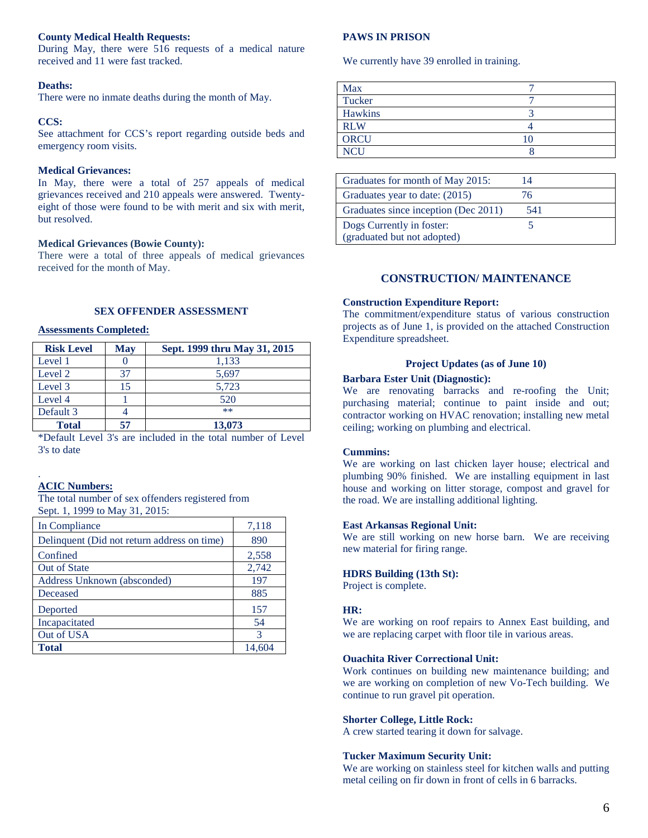## **County Medical Health Requests:**

During May, there were 516 requests of a medical nature received and 11 were fast tracked.

## **Deaths:**

There were no inmate deaths during the month of May.

## **CCS:**

See attachment for CCS's report regarding outside beds and  $ORCU$  10 emergency room visits.

### **Medical Grievances:**

In May, there were a total of 257 appeals of medical grievances received and 210 appeals were answered. Twentyeight of those were found to be with merit and six with merit, but resolved.

## **Medical Grievances (Bowie County):**

There were a total of three appeals of medical grievances received for the month of May.

### **SEX OFFENDER ASSESSMENT**

## **Assessments Completed:**

| <b>Risk Level</b> | <b>May</b> | Sept. 1999 thru May 31, 2015 |
|-------------------|------------|------------------------------|
| Level 1           |            | 1,133                        |
| Level 2           | 37         | 5,697                        |
| Level 3           | 15         | 5,723                        |
| Level 4           |            | 520                          |
| Default 3         |            | $**$                         |
| <b>Total</b>      | 57         | 13,073                       |

\*Default Level 3's are included in the total number of Level 3's to date

# **ACIC Numbers:**

.

The total number of sex offenders registered from Sept. 1, 1999 to May 31, 2015:

| In Compliance                               | 7,118  |
|---------------------------------------------|--------|
| Delinquent (Did not return address on time) | 890    |
| Confined                                    | 2,558  |
| Out of State                                | 2,742  |
| Address Unknown (absconded)                 | 197    |
| Deceased                                    | 885    |
| Deported                                    | 157    |
| Incapacitated                               | 54     |
| Out of USA                                  | 3      |
| <b>Total</b>                                | 14,604 |

## **PAWS IN PRISON**

We currently have 39 enrolled in training.

| <b>Max</b>     |    |
|----------------|----|
| Tucker         |    |
| <b>Hawkins</b> |    |
| <b>RLW</b>     |    |
| <b>ORCU</b>    | 10 |
| <b>NCU</b>     |    |

| Graduates for month of May 2015:     | 14  |  |
|--------------------------------------|-----|--|
| Graduates year to date: (2015)       | 76  |  |
| Graduates since inception (Dec 2011) | 541 |  |
| Dogs Currently in foster:            |     |  |
| (graduated but not adopted)          |     |  |

## **CONSTRUCTION/ MAINTENANCE**

### **Construction Expenditure Report:**

The commitment/expenditure status of various construction projects as of June 1, is provided on the attached Construction Expenditure spreadsheet.

### **Project Updates (as of June 10)**

### **Barbara Ester Unit (Diagnostic):**

We are renovating barracks and re-roofing the Unit; purchasing material; continue to paint inside and out; contractor working on HVAC renovation; installing new metal ceiling; working on plumbing and electrical.

### **Cummins:**

We are working on last chicken layer house; electrical and plumbing 90% finished. We are installing equipment in last house and working on litter storage, compost and gravel for the road. We are installing additional lighting.

### **East Arkansas Regional Unit:**

We are still working on new horse barn. We are receiving new material for firing range.

## **HDRS Building (13th St):**

Project is complete.

## **HR:**

We are working on roof repairs to Annex East building, and we are replacing carpet with floor tile in various areas.

#### **Ouachita River Correctional Unit:**

Work continues on building new maintenance building; and we are working on completion of new Vo-Tech building. We continue to run gravel pit operation.

#### **Shorter College, Little Rock:**

A crew started tearing it down for salvage.

#### **Tucker Maximum Security Unit:**

We are working on stainless steel for kitchen walls and putting metal ceiling on fir down in front of cells in 6 barracks.